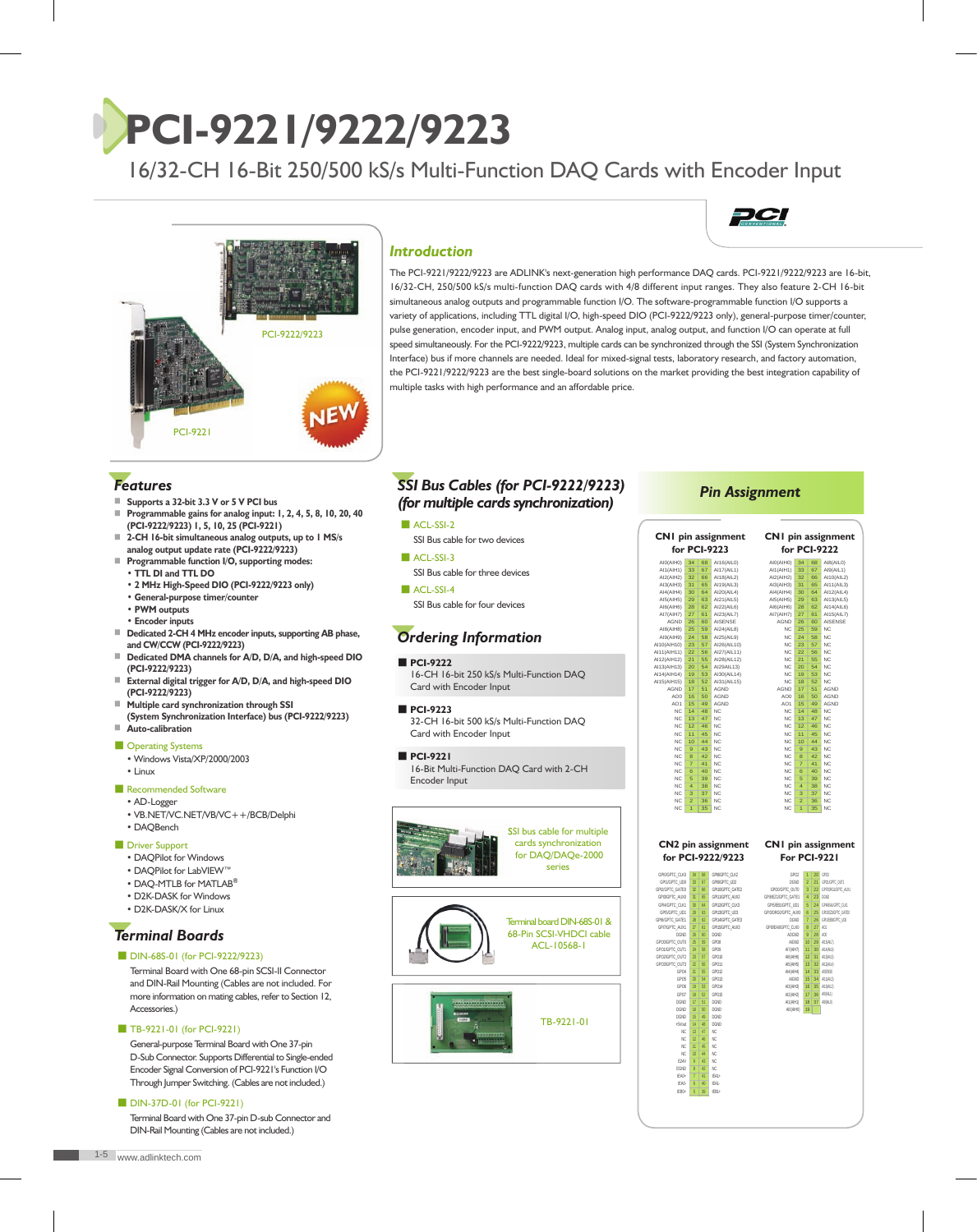# **PCI-9221/9222/9223**

16/32-CH 16-Bit 250/500 kS/s Multi-Function DAQ Cards with Encoder Input



### *Introduction*



The PCI-9221/9222/9223 are ADLINK's next-generation high performance DAQ cards. PCI-9221/9222/9223 are 16-bit, 16/32-CH, 250/500 kS/s multi-function DAQ cards with 4/8 different input ranges. They also feature 2-CH 16-bit simultaneous analog outputs and programmable function I/O. The software-programmable function I/O supports a variety of applications, including TTL digital I/O, high-speed DIO (PCI-9222/9223 only), general-purpose timer/counter, pulse generation, encoder input, and PWM output. Analog input, analog output, and function I/O can operate at full speed simultaneously. For the PCI-9222/9223, multiple cards can be synchronized through the SSI (System Synchronization Interface) bus if more channels are needed. Ideal for mixed-signal tests, laboratory research, and factory automation, the PCI-9221/9222/9223 are the best single-board solutions on the market providing the best integration capability of multiple tasks with high performance and an affordable price.

## *Features*

- Supports a 32-bit 3.3 V or 5 V PCI bus
- ■ **Programmable gains for analog input: 1, 2, 4, 5, 8, 10, 20, 40 (PCI-9222/9223) 1, 5, 10, 25 (PCI-9221)**
- 2-CH 16-bit simultaneous analog outputs, up to 1 MS/s  **analog output update rate (PCI-9222/9223)**
- **Programmable function I/O, supporting modes: • TTL DI and TTL DO** 
	- **2 MHz High-Speed DIO (PCI-9222/9223 only)**
	- **General-purpose timer/counter**
	- **PWM outputs**
	- **Encoder inputs**
- ■ **Dedicated 2-CH 4 MHz encoder inputs, supporting AB phase, and CW/CCW (PCI-9222/9223)**
- ■ **Dedicated DMA channels for A/D, D/A, and high-speed DIO (PCI-9222/9223)**
- **External digital trigger for A/D, D/A, and high-speed DIO (PCI-9222/9223)**
- ■ **Multiple card synchronization through SSI**
- **(System Synchronization Interface) bus (PCI-9222/9223)** ■ **Auto-calibration**

#### ■ Operating Systems

- Windows Vista/XP/2000/2003
- Linux

#### ■ Recommended Software

- AD-Logger
- VB.NET/VC.NET/VB/VC++/BCB/Delphi
- DAQBench
- Driver Support
	- DAQPilot for Windows
	- DAQPilot for LabVIEW™
	- DAQ-MTLB for MATLAB**®** • D2K-DASK for Windows
	- D2K-DASK/X for Linux
	-

## *Terminal Boards*

■ DIN-68S-01 (for PCI-9222/9223)

Terminal Board with One 68-pin SCSI-II Connector and DIN-Rail Mounting (Cables are not included. For more information on mating cables, refer to Section 12, Accessories.)

■ TB-9221-01 (for PCI-9221)

General-purpose Terminal Board with One 37-pin D-Sub Connector. Supports Differential to Single-ended Encoder Signal Conversion of PCI-9221's Function I/O Through Jumper Switching. (Cables are not included.)

#### ■ DIN-37D-01 (for PCI-9221)

Terminal Board with One 37-pin D-sub Connector and DIN-Rail Mounting (Cables are not included.)

## *SSI Bus Cables (for PCI-9222/9223) (for multiple cards synchronization)*

■ ACL-SSI-2

SSI Bus cable for two devices

■ ACL-SSI-3 SSI Bus cable for three devices

■ ACL-SSI-4 SSI Bus cable for four devices

## *Ordering Information*

#### ■ **PCI-9222**

 16-CH 16-bit 250 kS/s Multi-Function DAQ Card with Encoder Input

#### ■ **PCI-9223**

 32-CH 16-bit 500 kS/s Multi-Function DAQ Card with Encoder Input

■ **PCI-9221**

 16-Bit Multi-Function DAQ Card with 2-CH Encoder Input





#### *Pin Assignment*

|                                  |                                              |                 | <b>CN1</b> pin assignment                                  | <b>CNI</b> pin assignment |                                  |                 |                            |
|----------------------------------|----------------------------------------------|-----------------|------------------------------------------------------------|---------------------------|----------------------------------|-----------------|----------------------------|
|                                  |                                              |                 | for PCI-9223                                               |                           |                                  |                 | for PCI-9222               |
| AI0(AIH0)                        | 34                                           | 68              | AI16(AIL0)                                                 | AI0(AIH0)                 | 34                               | 68              | AI8(AIL0)                  |
| AI1(AIH1)                        | 33                                           | 67              | AI17(AIL1)                                                 | AI1(AIH1)                 | 33                               | 67              | AI9(AIL1)                  |
| AI2(AIH2)                        | 32                                           | 66              | AI18(AIL2)                                                 | AI2(AIH2)                 | 32                               | 66              | AI10(AIL2)                 |
| AI3(AIH3)                        | 31                                           | 65<br>64        | AI19(AIL3)                                                 | AI3(AIH3)                 | 31                               | 65              | AI11(AIL3)                 |
| AI4(AIH4)<br>AI5(AIH5)           | 30<br>29                                     | 63              | AI20(AIL4)<br>AI21(AIL5)                                   | AI4(AIH4)<br>AI5(AIH5)    | 30<br>29                         | 64<br>63        | AI12(AIL4)<br>AI13(AIL5)   |
| AI6(AIH6)                        | 28                                           | 62              | AI22(AIL6)                                                 | AI6(AIH6)                 | 28                               | 62              | AI14(AIL6)                 |
| AI7(AIH7)                        | 27                                           | 61              | AI23(AIL7)                                                 | AI7(AIH7)                 | 27                               | 61              | AI15(AIL7)                 |
| AGND                             | 26                                           | 60              | AISENSE                                                    | AGND                      | 26                               | 60              | AISENSE                    |
| AI8(AIH8)                        | 25                                           | 59              | AI24(AIL8)                                                 | NC.                       | 25                               | 59              | NC.                        |
| AI9(AIH9)                        | 24                                           | 58              | AI25(AIL9)                                                 | NC.                       | 24                               | 58              | N <sub>C</sub>             |
| AI10(AIH10)                      | 23                                           | 57              | AI26(AIL10)                                                | NC.                       | 23                               | 57              | N <sub>C</sub>             |
| AI11(AIH11)<br>AI12(AIH12)       | 22<br>21                                     | 56<br>55        | AI27(AIL11)<br>AI28(AIL12)                                 | NC.<br><b>NC</b>          | $\overline{22}$<br>21            | 56<br>55        | NC<br>NC                   |
| AI13(AIH13)                      | 20                                           | 54              | AI29AIL13)                                                 | NC.                       | 20                               | 54              | NC                         |
| AI14(AIH14)                      | 19                                           | 53              | AI30(AIL14)                                                | NC.                       | 19                               | 53              | NC                         |
| AI15(AIH15)                      | 18                                           | 52              | AI31(AIL15)                                                | <b>NC</b>                 | 18                               | 52              | <b>NC</b>                  |
| AGND                             | 17                                           | 51              | AGND                                                       | AGND                      | 17                               | 51              | AGND                       |
| AO <sub>0</sub>                  | 16                                           | 50              | AGND                                                       | AO0                       | 16                               | 50              | AGND                       |
| AO <sub>1</sub>                  | 15                                           | 40              | AGND                                                       | AO1                       | 15                               | A <sub>O</sub>  | AGND                       |
| NC.                              | 14                                           | 48              | NC.                                                        | NC.                       | 14                               | 48              | NC.                        |
| NC.                              | 13                                           | 47              | NC.                                                        | NC.                       | 13                               | 47              | N <sub>C</sub>             |
| NC.                              | $\overline{12}$                              | 46              | <b>NC</b>                                                  | NC                        | $\overline{12}$                  | 46              | <b>NC</b>                  |
| NC.                              | 11                                           | 45              | NC.                                                        | NC.                       | 11                               | 45              | N <sub>C</sub>             |
| NC.                              | 10                                           | 44              | NC                                                         | NC.                       | 10 <sup>1</sup>                  | 44              | N <sub>C</sub>             |
| <b>NC</b>                        | 9                                            | 43              | <b>NC</b><br>NC                                            | NC.                       | $\overline{9}$                   | 43              | <b>NC</b>                  |
| NC<br><b>NC</b>                  | 8<br>$\overline{7}$                          | 42<br>41        | <b>NC</b>                                                  | $_{\rm NC}$<br>NC         | 8<br>$\overline{7}$              | 42<br>41        | <b>NC</b><br><b>NC</b>     |
| NC.                              | 6                                            | 40              | NC.                                                        | NC.                       | 6                                | 40              | N <sub>C</sub>             |
| NC.                              | 5                                            | 39              | N <sub>C</sub>                                             | NC.                       | 5                                | 39              | N <sub>C</sub>             |
| NC.                              | $\overline{A}$                               | 38              | N <sub>C</sub>                                             | NC.                       | $\overline{a}$                   | 38              | NC                         |
| NC.                              | $\overline{3}$                               | 37              | N <sub>C</sub>                                             | NC.                       | $\overline{3}$                   | 37              | NC                         |
| <b>NC</b>                        | $\overline{2}$                               | 36              | N <sub>C</sub>                                             | NC.                       | $\mathcal{P}$                    | 36              | <b>NC</b>                  |
| NC.                              | $\overline{1}$                               | 35              | NC                                                         | NC.                       | $\overline{1}$                   | 35              | <b>NC</b>                  |
|                                  |                                              |                 | CN2 pin assignment CN1 pin assignment<br>for PCI-9222/9223 |                           |                                  |                 | <b>For PCI-9221</b>        |
|                                  |                                              |                 |                                                            |                           | com                              |                 |                            |
| GPIOGPTC, CLKO<br>GP11/GPTC_UD0  | $\overline{\mathbf{z}}$<br>33                | <b>AR</b><br>67 | GPISIGPTC, CLK2<br>GPISGPTC UD2                            | DGND                      | $\overline{1}$<br>$\overline{2}$ | 21              | $20$ cans<br>GROUGHTC OUT! |
| GPI2/GPTC_GATE0                  | $\overline{3}$                               | $\overline{66}$ | GP110GPTC_GATE2                                            | GPONGPTC_OUT0             | $\overline{3}$                   | $22^{1}$        | GPINORGNGPTC_AUX1          |
| GPI3/GPTC ALX0                   | $\overline{31}$                              | 65              | GP11GPTC AUX2                                              | GPI6IEZ1/GPTC GATE1       | $\overline{4}$                   | 23              | nan                        |
| GPM/GPTC_CLK1                    | $\overline{30}$                              | 64              | GP112GPTC_CLK3                                             | GPI5/EB1/GPTC_UD1         | 5                                | 24              | GPIAEA1/GPTC_CLK1          |
| GPIS/GPTC UD1                    | $\overline{29}$                              | $\overline{63}$ | GP113GPTC_UD3                                              | GPI3ORG0/GPTC_AUX0        | 6                                | 25              | GROEPIGPTC GATES           |
| GPI6/GPTC_GATE1                  | 28                                           | 62              | GP114GPTC_GATE3                                            | <b>DGND</b>               | 7                                | 26              | GP11EB0/GPTC_UD0           |
| GPI7/GPTC_AUX1                   | $\overline{\mathbb{Z}}$                      | 61              | GP115GPTC_AUX3                                             | GPIDEADGPTC_CLKD          | 8                                | 27              | AO1                        |
| DGND                             | 26                                           | 60              | <b>DGND</b>                                                | AOGND                     | $\overline{9}$                   | 28              | AOD                        |
| GPO0/GPTC_OUT0                   | 25                                           | 59              | cone                                                       | AIGND                     | 10                               | 29              | ANSALTI                    |
| GPO1/GPTC OUT1<br>GPO2/GPTC OUT2 | $\overline{\chi}$<br>$\overline{\mathbb{Z}}$ | 58<br>57        | cena<br>GPO10                                              | AI7(AIH7)<br>AIR/AIHR     | 11<br>12                         | 31              | 30 ANALES<br>AYSALS        |
| GPO3/GPTC OUT3                   | $\overline{22}$                              | 56              | GP011                                                      | AIS(AIHS)                 | $\overline{13}$                  |                 | 32 AY2AL4                  |
| GPO4                             | $\overline{\mathfrak{H}}$                    | 55              | GP012                                                      | AI4(AIH4)                 | 14                               |                 | 33 AISFASF                 |
| GPOS                             | $\overline{20}$                              | 54              | GP013                                                      | AIGND                     | 15                               | 34 <sup>°</sup> | A11813                     |
| GPO6                             | 19                                           | 53              | GP014                                                      | AI3(AIH3)                 | 16                               |                 | 35 AY0AL2                  |
| GPO7                             | 18                                           | 52              | GPO15                                                      | AI2(AIH2)                 |                                  | 17<br>36        | A9AL1                      |
| <b>DGND</b>                      | 17                                           | 51              | DGND                                                       | AI1(AIH1)                 | 18                               |                 | 37 AB(ALI)                 |
| DGND                             | 16                                           | 50              | <b>DGND</b>                                                |                           | AI0(AIH0) 19                     |                 |                            |
| DGND                             | 15                                           | 49              | <b>DGND</b>                                                |                           |                                  |                 |                            |
| $+5$ Vout                        | 14                                           | 48              | <b>DGND</b>                                                |                           |                                  |                 |                            |
| NC.<br>NC.                       | $\overline{13}$                              | $\overline{47}$ | NC<br>NC                                                   |                           |                                  |                 |                            |
| NC.                              | 12<br>$\overline{11}$                        | 46<br>45        | NC                                                         |                           |                                  |                 |                            |
| NC                               | 10                                           | 44              | NC                                                         |                           |                                  |                 |                            |
| E24V                             | $\overline{9}$                               | 43              | NC.                                                        |                           |                                  |                 |                            |
| <b>FGND</b>                      | 8                                            | 42              | NC                                                         |                           |                                  |                 |                            |
| IFA0+                            | $\overline{7}$                               | 41              | IFA1+                                                      |                           |                                  |                 |                            |
| IFAN.                            | Ŕ                                            | 40              | IFA1.                                                      |                           |                                  |                 |                            |
| IFR0+                            | $\overline{5}$                               | 39              | IFR <sub>1+</sub>                                          |                           |                                  |                 |                            |
|                                  |                                              |                 |                                                            |                           |                                  |                 |                            |